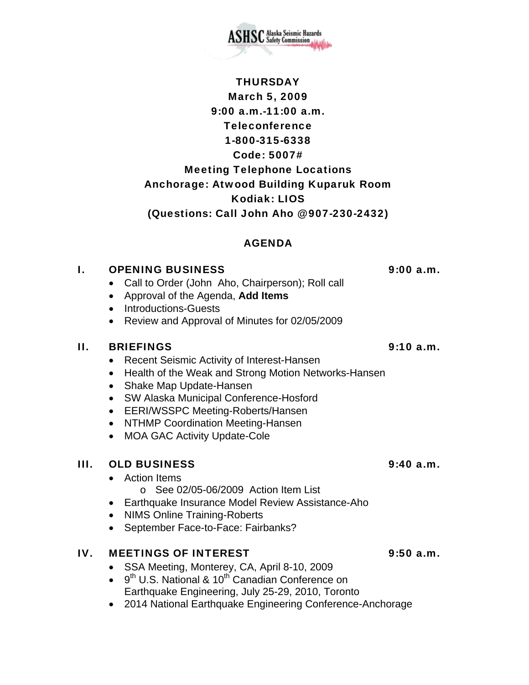

## AGENDA

#### I. OPENING BUSINESS 9:00 a.m.

- Call to Order (John Aho, Chairperson); Roll call
- Approval of the Agenda, **Add Items**
- Introductions-Guests
- Review and Approval of Minutes for 02/05/2009

#### II. BRIEFINGS 9:10 a.m.

- Recent Seismic Activity of Interest-Hansen
- Health of the Weak and Strong Motion Networks-Hansen
- Shake Map Update-Hansen
- SW Alaska Municipal Conference-Hosford
- EERI/WSSPC Meeting-Roberts/Hansen
- NTHMP Coordination Meeting-Hansen
- MOA GAC Activity Update-Cole

## III. OLD BUSINESS 9:40 a.m.

- Action Items
	- o See 02/05-06/2009 Action Item List
- Earthquake Insurance Model Review Assistance-Aho
- NIMS Online Training-Roberts
- September Face-to-Face: Fairbanks?

## IV. MEETINGS OF INTEREST 9:50 a.m.

- SSA Meeting, Monterey, CA, April 8-10, 2009
- $\bullet$  9<sup>th</sup> U.S. National & 10<sup>th</sup> Canadian Conference on Earthquake Engineering, July 25-29, 2010, Toronto
- 2014 National Earthquake Engineering Conference-Anchorage

SC Alaska Seismic Hazards